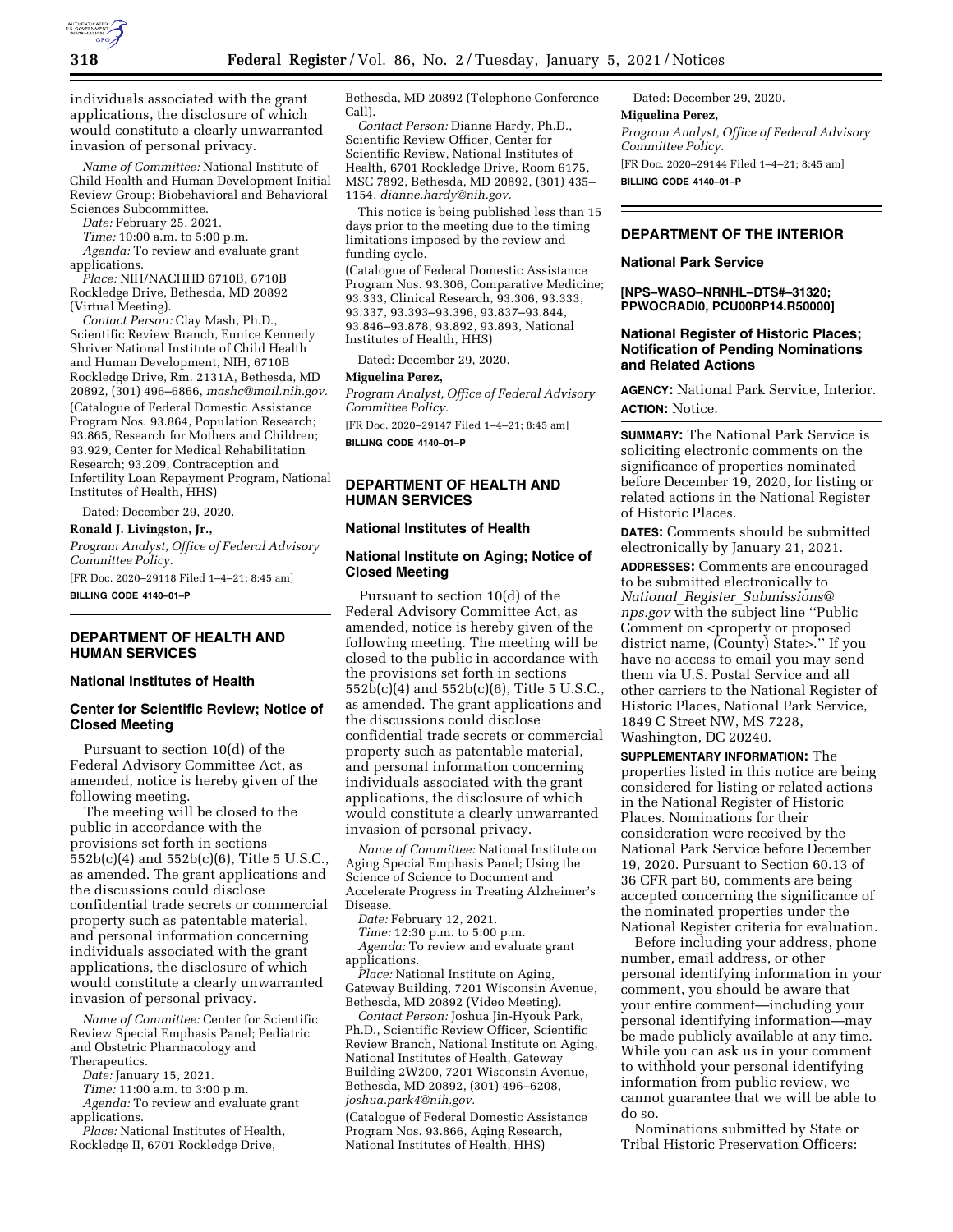

individuals associated with the grant applications, the disclosure of which would constitute a clearly unwarranted invasion of personal privacy.

*Name of Committee:* National Institute of Child Health and Human Development Initial Review Group; Biobehavioral and Behavioral Sciences Subcommittee.

*Date:* February 25, 2021.

*Time:* 10:00 a.m. to 5:00 p.m. *Agenda:* To review and evaluate grant

applications. *Place:* NIH/NACHHD 6710B, 6710B Rockledge Drive, Bethesda, MD 20892 (Virtual Meeting).

*Contact Person:* Clay Mash, Ph.D., Scientific Review Branch, Eunice Kennedy Shriver National Institute of Child Health and Human Development, NIH, 6710B Rockledge Drive, Rm. 2131A, Bethesda, MD 20892, (301) 496–6866, *[mashc@mail.nih.gov.](mailto:mashc@mail.nih.gov)*  (Catalogue of Federal Domestic Assistance Program Nos. 93.864, Population Research; 93.865, Research for Mothers and Children; 93.929, Center for Medical Rehabilitation Research; 93.209, Contraception and Infertility Loan Repayment Program, National Institutes of Health, HHS)

Dated: December 29, 2020.

**Ronald J. Livingston, Jr.,**  *Program Analyst, Office of Federal Advisory Committee Policy.* 

[FR Doc. 2020–29118 Filed 1–4–21; 8:45 am] **BILLING CODE 4140–01–P** 

## **DEPARTMENT OF HEALTH AND HUMAN SERVICES**

## **National Institutes of Health**

# **Center for Scientific Review; Notice of Closed Meeting**

Pursuant to section 10(d) of the Federal Advisory Committee Act, as amended, notice is hereby given of the following meeting.

The meeting will be closed to the public in accordance with the provisions set forth in sections 552b(c)(4) and 552b(c)(6), Title 5 U.S.C., as amended. The grant applications and the discussions could disclose confidential trade secrets or commercial property such as patentable material, and personal information concerning individuals associated with the grant applications, the disclosure of which would constitute a clearly unwarranted invasion of personal privacy.

*Name of Committee:* Center for Scientific Review Special Emphasis Panel; Pediatric and Obstetric Pharmacology and Therapeutics.

*Date:* January 15, 2021.

*Time:* 11:00 a.m. to 3:00 p.m.

*Agenda:* To review and evaluate grant applications.

*Place:* National Institutes of Health, Rockledge II, 6701 Rockledge Drive,

Bethesda, MD 20892 (Telephone Conference Call).

*Contact Person:* Dianne Hardy, Ph.D., Scientific Review Officer, Center for Scientific Review, National Institutes of Health, 6701 Rockledge Drive, Room 6175, MSC 7892, Bethesda, MD 20892, (301) 435– 1154, *[dianne.hardy@nih.gov.](mailto:dianne.hardy@nih.gov)* 

This notice is being published less than 15 days prior to the meeting due to the timing limitations imposed by the review and funding cycle.

(Catalogue of Federal Domestic Assistance Program Nos. 93.306, Comparative Medicine; 93.333, Clinical Research, 93.306, 93.333, 93.337, 93.393–93.396, 93.837–93.844, 93.846–93.878, 93.892, 93.893, National Institutes of Health, HHS)

Dated: December 29, 2020.

#### **Miguelina Perez,**

*Program Analyst, Office of Federal Advisory Committee Policy.* 

[FR Doc. 2020–29147 Filed 1–4–21; 8:45 am] **BILLING CODE 4140–01–P** 

# **DEPARTMENT OF HEALTH AND HUMAN SERVICES**

#### **National Institutes of Health**

# **National Institute on Aging; Notice of Closed Meeting**

Pursuant to section 10(d) of the Federal Advisory Committee Act, as amended, notice is hereby given of the following meeting. The meeting will be closed to the public in accordance with the provisions set forth in sections 552b(c)(4) and 552b(c)(6), Title 5 U.S.C., as amended. The grant applications and the discussions could disclose confidential trade secrets or commercial property such as patentable material, and personal information concerning individuals associated with the grant applications, the disclosure of which would constitute a clearly unwarranted invasion of personal privacy.

*Name of Committee:* National Institute on Aging Special Emphasis Panel; Using the Science of Science to Document and Accelerate Progress in Treating Alzheimer's Disease.

*Date:* February 12, 2021.

*Time:* 12:30 p.m. to 5:00 p.m.

*Agenda:* To review and evaluate grant applications.

*Place:* National Institute on Aging, Gateway Building, 7201 Wisconsin Avenue, Bethesda, MD 20892 (Video Meeting).

*Contact Person:* Joshua Jin-Hyouk Park, Ph.D., Scientific Review Officer, Scientific Review Branch, National Institute on Aging, National Institutes of Health, Gateway Building 2W200, 7201 Wisconsin Avenue, Bethesda, MD 20892, (301) 496–6208, *[joshua.park4@nih.gov.](mailto:joshua.park4@nih.gov)* 

(Catalogue of Federal Domestic Assistance Program Nos. 93.866, Aging Research, National Institutes of Health, HHS)

Dated: December 29, 2020. **Miguelina Perez,**  *Program Analyst, Office of Federal Advisory Committee Policy.*  [FR Doc. 2020–29144 Filed 1–4–21; 8:45 am] **BILLING CODE 4140–01–P** 

# **DEPARTMENT OF THE INTERIOR**

#### **National Park Service**

**[NPS–WASO–NRNHL–DTS#–31320; PPWOCRADI0, PCU00RP14.R50000]** 

## **National Register of Historic Places; Notification of Pending Nominations and Related Actions**

**AGENCY:** National Park Service, Interior. **ACTION:** Notice.

**SUMMARY:** The National Park Service is soliciting electronic comments on the significance of properties nominated before December 19, 2020, for listing or related actions in the National Register of Historic Places.

**DATES:** Comments should be submitted electronically by January 21, 2021.

**ADDRESSES:** Comments are encouraged to be submitted electronically to *National*\_*Register*\_*[Submissions@](mailto:National_Register_Submissions@nps.gov) [nps.gov](mailto:National_Register_Submissions@nps.gov)* with the subject line ''Public Comment on  $\leq$  property or proposed district name, (County) State>.'' If you have no access to email you may send them via U.S. Postal Service and all other carriers to the National Register of Historic Places, National Park Service, 1849 C Street NW, MS 7228, Washington, DC 20240.

**SUPPLEMENTARY INFORMATION:** The properties listed in this notice are being considered for listing or related actions in the National Register of Historic Places. Nominations for their consideration were received by the National Park Service before December 19, 2020. Pursuant to Section 60.13 of 36 CFR part 60, comments are being accepted concerning the significance of the nominated properties under the National Register criteria for evaluation.

Before including your address, phone number, email address, or other personal identifying information in your comment, you should be aware that your entire comment—including your personal identifying information—may be made publicly available at any time. While you can ask us in your comment to withhold your personal identifying information from public review, we cannot guarantee that we will be able to do so.

Nominations submitted by State or Tribal Historic Preservation Officers: